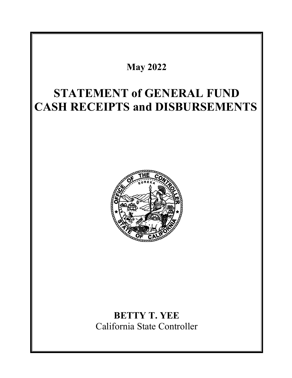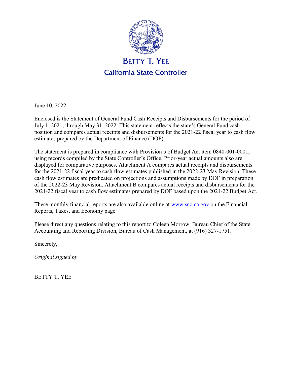

June 10, 2022

Enclosed is the Statement of General Fund Cash Receipts and Disbursements for the period of July 1, 2021, through May 31, 2022. This statement reflects the state's General Fund cash position and compares actual receipts and disbursements for the 2021-22 fiscal year to cash flow estimates prepared by the Department of Finance (DOF).

The statement is prepared in compliance with Provision 5 of Budget Act item 0840-001-0001, using records compiled by the State Controller's Office. Prior-year actual amounts also are displayed for comparative purposes. Attachment A compares actual receipts and disbursements for the 2021-22 fiscal year to cash flow estimates published in the 2022-23 May Revision. These cash flow estimates are predicated on projections and assumptions made by DOF in preparation of the 2022-23 May Revision. Attachment B compares actual receipts and disbursements for the 2021-22 fiscal year to cash flow estimates prepared by DOF based upon the 2021-22 Budget Act.

These monthly financial reports are also available online at www.sco.ca.gov on the Financial Reports, Taxes, and Economy page.

Please direct any questions relating to this report to Coleen Morrow, Bureau Chief of the State Accounting and Reporting Division, Bureau of Cash Management, at (916) 327-1751.

Sincerely,

*Original signed by*

BETTY T. YEE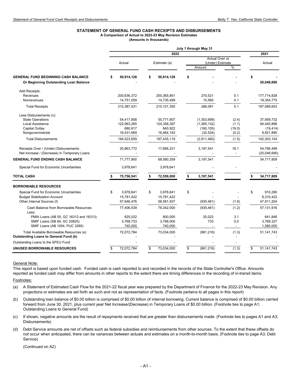#### **STATEMENT OF GENERAL FUND CASH RECEIPTS AND DISBURSEMENTS**

**A Comparison of Actual to 2022-23 May Revision Estimates**

**(Amounts in thousands)**

|                                                                                       |    |             |                          | 2022         |                          |                            |        |    | 2021                       |
|---------------------------------------------------------------------------------------|----|-------------|--------------------------|--------------|--------------------------|----------------------------|--------|----|----------------------------|
|                                                                                       |    |             |                          |              |                          | Actual Over or             |        |    |                            |
|                                                                                       |    | Actual      |                          | Estimate (a) |                          | (Under) Estimate<br>Amount | $\%$   |    | Actual                     |
|                                                                                       |    |             |                          |              |                          |                            |        |    |                            |
| <b>GENERAL FUND BEGINNING CASH BALANCE</b>                                            |    | 50,914,128  | \$                       | 50,914,128   | \$                       |                            |        | \$ |                            |
| Or Beginning Outstanding Loan Balance                                                 |    |             |                          |              |                          |                            |        |    | 20,048,690                 |
| <b>Add Receipts:</b>                                                                  |    |             |                          |              |                          |                            |        |    |                            |
| Revenues                                                                              |    | 200,636,372 |                          | 200,365,851  |                          | 270,521                    | 0.1    |    | 177,714,828                |
| Nonrevenues                                                                           |    | 14,751,059  |                          | 14,735,499   |                          | 15,560                     | 0.1    |    | 19,354,775                 |
| <b>Total Receipts</b>                                                                 |    | 215,387,431 |                          | 215,101,350  |                          | 286,081                    | 0.1    |    | 197,069,603                |
| Less Disbursements (c):                                                               |    |             |                          |              |                          |                            |        |    |                            |
| <b>State Operations</b>                                                               |    | 54,417,908  |                          | 55,771,607   |                          | (1,353,699)                | (2.4)  |    | 37,959,732                 |
| <b>Local Assistance</b>                                                               |    | 122,993,265 |                          | 124,358,397  |                          | (1,365,132)                | (1.1)  |    | 94,440,896                 |
| Capital Outlay                                                                        |    | 680,817     |                          | 840,922      |                          | (160, 105)                 | (19.0) |    | (19, 414)                  |
| Nongovernmental                                                                       |    | 16,431,669  |                          | 16,464,193   |                          | (32, 524)                  | (0.2)  |    | 9,921,890                  |
| <b>Total Disbursements</b>                                                            |    | 194,523,659 |                          | 197,435,119  |                          | (2,911,460)                | (1.5)  |    | 142,303,104                |
| Receipts Over / (Under) Disbursements<br>Net Increase / (Decrease) in Temporary Loans |    | 20,863,772  |                          | 17,666,231   |                          | 3,197,541                  | 18.1   |    | 54,766,499<br>(20,048,690) |
| <b>GENERAL FUND ENDING CASH BALANCE</b>                                               |    | 71,777,900  |                          | 68,580,359   |                          | 3,197,541                  |        |    | 34,717,809                 |
| Special Fund for Economic Uncertainties                                               |    | 3,978,641   |                          | 3,978,641    |                          |                            |        |    |                            |
| <b>TOTAL CASH</b>                                                                     |    | 75,756,541  | \$                       | 72,559,000   | \$                       | 3,197,541                  |        | \$ | 34,717,809                 |
| <b>BORROWABLE RESOURCES</b>                                                           |    |             |                          |              |                          |                            |        |    |                            |
| Special Fund for Economic Uncertainties                                               | \$ | 3,978,641   | \$                       | 3,978,641    | \$                       |                            |        | \$ | 910.290                    |
| <b>Budget Stabilization Account</b>                                                   |    | 15,781,422  |                          | 15,781,422   |                          |                            |        |    | 8,310,422                  |
| Other Internal Sources (f)                                                            |    | 57,646,476  |                          | 58,581,937   |                          | (935, 461)                 | (1.6)  |    | 47,911,204                 |
| Cash Balance from Borrowable Resources<br>Less:                                       |    | 77,406,539  |                          | 78,342,000   |                          | (935, 461)                 | (1.2)  |    | 57,131,916                 |
| PMIA Loans (AB 55, GC 16312 and 16313)                                                |    | 825,022     |                          | 800,000      |                          | 25,022                     | 3.1    |    | 641,846                    |
| SMIF Loans (SB 84, GC 20825)                                                          |    | 3,768,733   |                          | 3,768,000    |                          | 733                        | 0.0    |    | 3,768,327                  |
| SMIF Loans (AB 1054, PUC 3285)                                                        |    | 740,000     |                          | 740,000      |                          |                            |        |    | 1,580,000                  |
| Total Available Borrowable Resources (e)<br>Outstanding Loans to General Fund (b)     |    | 72,072,784  |                          | 73,034,000   |                          | (961, 216)                 | (1.3)  |    | 51, 141, 743               |
| Outstanding Loans to the SFEU Fund                                                    |    |             |                          |              |                          |                            |        |    |                            |
| UNUSED BORROWABLE RESOURCES                                                           | \$ | 72,072,784  | $\overline{\mathcal{S}}$ | 73,034,000   | $\overline{\mathcal{S}}$ | (961, 216)                 | (1.3)  | \$ | 51, 141, 743               |
|                                                                                       |    |             |                          |              |                          |                            |        |    |                            |

#### General Note:

This report is based upon funded cash. Funded cash is cash reported to and recorded in the records of the State Controller's Office. Amounts reported as funded cash may differ from amounts in other reports to the extent there are timing differences in the recording of in-transit items.

Footnotes:

- (a) A Statement of Estimated Cash Flow for the 2021-22 fiscal year was prepared by the Department of Finance for the 2022-23 May Revision. Any projections or estimates are set forth as such and not as representation of facts. (Footnote pertains to all pages in this report)
- Outstanding loan balance of \$0.00 billion is comprised of \$0.00 billion of internal borrowing. Current balance is comprised of \$0.00 billion carried forward from June 30, 2021, plus current year Net Increase/(Decrease) in Temporary Loans of \$0.00 billion. (Footnote ties to page A1; Outstanding Loans to General Fund) (b)
- If shown, negative amounts are the result of repayments received that are greater than disbursements made. (Footnote ties to pages A1 and A3; Disbursements) (c)
- (d) Debt Service amounts are net of offsets such as federal subsidies and reimbursements from other sources. To the extent that these offsets do not occur when anticipated, there can be variances between actuals and estimates on a month-to-month basis. (Footnote ties to page A3; Debt Service)

(Continued on A2)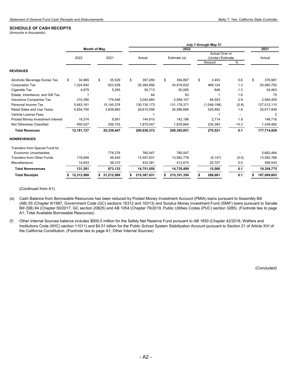#### **SCHEDULE OF CASH RECEIPTS**

(Amounts in thousands)

|                                   |              |                     | July 1 through May 31 |                   |                  |       |                   |  |  |  |  |  |  |  |
|-----------------------------------|--------------|---------------------|-----------------------|-------------------|------------------|-------|-------------------|--|--|--|--|--|--|--|
|                                   |              | <b>Month of May</b> |                       | 2022              |                  |       | 2021              |  |  |  |  |  |  |  |
|                                   |              |                     |                       |                   | Actual Over or   |       |                   |  |  |  |  |  |  |  |
|                                   | 2022         | 2021                | Actual                | Estimate (a)      | (Under) Estimate |       | Actual            |  |  |  |  |  |  |  |
|                                   |              |                     |                       |                   | Amount           | $\%$  |                   |  |  |  |  |  |  |  |
| <b>REVENUES</b>                   |              |                     |                       |                   |                  |       |                   |  |  |  |  |  |  |  |
| Alcoholic Beverage Excise Tax     | \$<br>34,965 | \$<br>35,529        | \$<br>397,290         | \$<br>394,887     | \$<br>2,403      | 0.6   | \$<br>376,981     |  |  |  |  |  |  |  |
| <b>Corporation Tax</b>            | 1,324,840    | 923,528             | 35,384,956            | 34,916,832        | 468,124          | 1.3   | 20,480,750        |  |  |  |  |  |  |  |
| Cigarette Tax                     | 4,679        | 5,295               | 50,713                | 50,065            | 648              | 1.3   | 54,463            |  |  |  |  |  |  |  |
| Estate, Inheritance, and Gift Tax |              |                     | 64                    | 63                |                  | 1.6   | 75                |  |  |  |  |  |  |  |
| Insurance Companies Tax           | 310,390      | 174,546             | 3,042,660             | 2,958,107         | 84,553           | 2.9   | 2,584,400         |  |  |  |  |  |  |  |
| Personal Income Tax               | 5,483,161    | 15,145,378          | 130, 130, 173         | 131,178,371       | (1,048,198)      | (0.8) | 127,012,110       |  |  |  |  |  |  |  |
| <b>Retail Sales and Use Taxes</b> | 4,554,790    | 3,838,865           | 29,615,558            | 29,089,666        | 525,892          | 1.8   | 25,617,849        |  |  |  |  |  |  |  |
| <b>Vehicle License Fees</b>       |              |                     |                       |                   |                  |       | 2                 |  |  |  |  |  |  |  |
| Pooled Money Investment Interest  | 18.374       | 9,581               | 144.910               | 142,196           | 2.714            | 1.9   | 148,716           |  |  |  |  |  |  |  |
| Not Otherwise Classified          | 450,527      | 206,725             | 1,870,047             | 1,635,664         | 234,383          | 14.3  | 1,439,482         |  |  |  |  |  |  |  |
| <b>Total Revenues</b>             | 12,181,727   | 20,339,447          | 200,636,372           | 200,365,851       | 270,521          | 0.1   | 177,714,828       |  |  |  |  |  |  |  |
| <b>NONREVENUES</b>                |              |                     |                       |                   |                  |       |                   |  |  |  |  |  |  |  |
| Transfers from Special Fund for   |              |                     |                       |                   |                  |       |                   |  |  |  |  |  |  |  |
| <b>Economic Uncertainties</b>     |              | 778,378             | 760,047               | 760,047           |                  |       | 5,662,464         |  |  |  |  |  |  |  |
| <b>Transfers from Other Funds</b> | 116,608      | 56,445              | 13,557,631            | 13,562,778        | (5, 147)         | (0.0) | 13,092,768        |  |  |  |  |  |  |  |
| Miscellaneous                     | 14,653       | 38,310              | 433,381               | 412,674           | 20,707           | 5.0   | 599,543           |  |  |  |  |  |  |  |
| <b>Total Nonrevenues</b>          | 131,261      | 873,133             | 14,751,059            | 14,735,499        | 15,560           | 0.1   | 19,354,775        |  |  |  |  |  |  |  |
| <b>Total Receipts</b>             | 12,312,988   | 21,212,580<br>\$    | 215,387,431<br>\$     | 215,101,350<br>\$ | 286,081<br>\$    | 0.1   | 197,069,603<br>\$ |  |  |  |  |  |  |  |

(Continued from A1)

(e) Cash Balance from Borrowable Resources has been reduced by Pooled Money Investment Account (PMIA) loans pursuant to Assembly Bill (AB) 55 (Chapter 6/1987, Government Code (GC) sections 16312 and 16313) and Surplus Money Investment Fund (SMIF) loans pursuant to Senate Bill (SB) 84 (Chapter 50/2017, GC section 20825) and AB 1054 (Chapter 79/2019, Public Utilities Codes (PUC) section 3285). (Footnote ties to page A1; Total Available Borrowable Resources)

(f) Other Internal Sources balance includes \$900.0 million for the Safety Net Reserve Fund pursuant to AB 1830 (Chapter 42/2018, Welfare and Institutions Code (WIC) section 11011) and \$4.51 billion for the Public School System Stabilization Account pursuant to Section 21 of Article XVI of the California Constitution. (Footnote ties to page A1; Other Internal Sources)

(Concluded)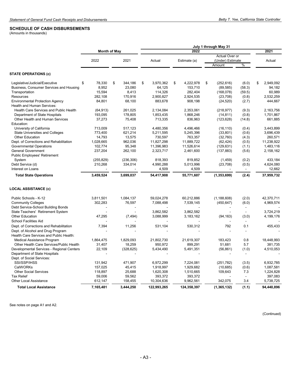## **SCHEDULE OF CASH DISBURSEMENTS**

(Amounts in thousands)

|                                           |                     |               | July 1 through May 31 |    |              |                                    |               |                |    |            |  |
|-------------------------------------------|---------------------|---------------|-----------------------|----|--------------|------------------------------------|---------------|----------------|----|------------|--|
|                                           | <b>Month of May</b> |               |                       |    | 2022         |                                    |               |                |    | 2021       |  |
|                                           | 2022                | 2021          | Actual                |    | Estimate (a) | Actual Over or<br>(Under) Estimate |               |                |    | Actual     |  |
|                                           |                     |               |                       |    |              |                                    | Amount        | %              |    |            |  |
| <b>STATE OPERATIONS (c)</b>               |                     |               |                       |    |              |                                    |               |                |    |            |  |
| Legislative/Judicial/Executive            | 78,330<br>\$        | \$<br>344,186 | \$<br>3,970,362       | \$ | 4,222,978    | \$                                 | (252, 616)    | (6.0)          | \$ | 2.949.092  |  |
| Business, Consumer Services and Housing   | 8,952               | 23,080        | 64,125                |    | 153,710      |                                    | (89, 585)     | (58.3)         |    | 94,182     |  |
| Transportation                            | 15,594              | 8,413         | 114,326               |    | 282,404      |                                    | (168,078)     | (59.5)         |    | 60,989     |  |
| Resources                                 | 282,108             | 170,916       | 2,900,827             |    | 2,924,535    |                                    | (23, 708)     | (0.8)          |    | 2,532,259  |  |
| <b>Environmental Protection Agency</b>    | 84,801              | 68,100        | 883,678               |    | 908,198      |                                    | (24, 520)     | (2.7)          |    | 444,667    |  |
| <b>Health and Human Services:</b>         |                     |               |                       |    |              |                                    |               |                |    |            |  |
| Health Care Services and Public Health    | (64, 913)           | 261,025       | 2,134,084             |    | 2,353,061    |                                    | (218, 977)    | (9.3)          |    | 2,163,756  |  |
| Department of State Hospitals             | 193,095             | 178,805       | 1,853,435             |    | 1,868,246    |                                    | (14, 811)     | (0.8)          |    | 1,701,867  |  |
| Other Health and Human Services           | 37,273              | 75,408        | 713,335               |    | 836,963      |                                    | (123, 628)    | (14.8)         |    | 661,885    |  |
| Education:                                |                     |               |                       |    |              |                                    |               |                |    |            |  |
| University of California                  | 713,009             | 517,123       | 4,480,356             |    | 4,496,466    |                                    | (16, 110)     | (0.4)          |    | 3,443,899  |  |
| <b>State Universities and Colleges</b>    | 773,400             | 621,214       | 5,211,595             |    | 5,245,396    |                                    | (33, 801)     | (0.6)          |    | 3,696,439  |  |
| <b>Other Education</b>                    | 14,793              | 13,575        | 730,597               |    | 763,357      |                                    | (32,760)      | (4.3)          |    | 260,571    |  |
| Dept. of Corrections and Rehabilitation   | 1,028,665           | 962,036       | 11,827,298            |    | 11,889,722   |                                    | (62, 424)     | (0.5)          |    | 11,238,922 |  |
| <b>Governmental Operations</b>            | 102,774             | 95,348        | 11,396,983            |    | 11,526,614   |                                    | (129, 631)    | (1.1)          |    | 1,483,116  |  |
| <b>General Government</b>                 | 237,204             | 262,100       | 2,323,717             |    | 2,461,600    |                                    | (137, 883)    | (5.6)          |    | 2,158,162  |  |
| <b>Public Employees' Retirement</b>       |                     |               |                       |    |              |                                    |               |                |    |            |  |
| System                                    | (255, 829)          | (236, 306)    | 818,393               |    | 819,852      |                                    | (1, 459)      | (0.2)          |    | 433,184    |  |
| Debt Service (d)                          | 210,268             | 334,014       | 4,990,288             |    | 5,013,996    |                                    | (23, 708)     | (0.5)          |    | 4,624,080  |  |
| Interest on Loans                         |                     |               | 4,509                 |    | 4,509        |                                    |               | $\blacksquare$ |    | 12,662     |  |
| <b>Total State Operations</b>             | 3,459,524           | 3,699,037     | 54,417,908            |    | 55,771,607   |                                    | (1, 353, 699) | (2.4)          |    | 37,959,732 |  |
| <b>LOCAL ASSISTANCE (c)</b>               |                     |               |                       |    |              |                                    |               |                |    |            |  |
| Public Schools - K-12                     | 3,811,501           | 1,084,137     | 59,024,278            |    | 60,212,886   |                                    | (1, 188, 608) | (2.0)          |    | 42,370,711 |  |
| <b>Community Colleges</b>                 | 302,283             | 76,597        | 7,088,498             |    | 7,539,145    |                                    | (450, 647)    | (6.0)          |    | 4,969,574  |  |
| Debt Service-School Building Bonds        |                     |               |                       |    |              |                                    |               |                |    |            |  |
| State Teachers' Retirement System         |                     |               | 3,862,582             |    | 3,862,582    |                                    |               |                |    | 3,724,219  |  |
| <b>Other Education</b>                    | 47,295              | (7, 494)      | 3,088,999             |    | 3,183,162    |                                    | (94, 163)     | (3.0)          |    | 4,199,176  |  |
| <b>School Facilities Aid</b>              |                     |               |                       |    |              |                                    |               |                |    |            |  |
| Dept. of Corrections and Rehabilitation   | 7,394               | 11,256        | 531,104               |    | 530,312      |                                    | 792           | 0.1            |    | 455,433    |  |
| Dept. of Alcohol and Drug Program         |                     |               |                       |    |              |                                    |               | $\overline{a}$ |    |            |  |
| Health Care Services and Public Health:   |                     |               |                       |    |              |                                    |               |                |    |            |  |
| Medical Assistance Program                | 1,864,475           | 1,829,093     | 21,802,730            |    | 21,619,307   |                                    | 183,423       | 0.8            |    | 18,448,993 |  |
| Other Health Care Services/Public Health  | 31,407              | 18,259        | 950,972               |    | 899,291      |                                    | 51,681        | 5.7            |    | 381,735    |  |
| Developmental Services - Regional Centers | 22,109              | (328, 625)    | 5,434,490             |    | 5,491,351    |                                    | (56, 861)     | (1.0)          |    | 4,510,053  |  |
| Department of State Hospitals             |                     |               |                       |    |              |                                    |               | $\mathbf{r}$   |    |            |  |
| Dept. of Social Services:                 |                     |               |                       |    |              |                                    |               |                |    |            |  |
| SSI/SSP/IHSS                              | 131,942             | 471,907       | 6,972,299             |    | 7,224,081    |                                    | (251, 782)    | (3.5)          |    | 6,932,785  |  |
| <b>CalWORKs</b>                           | 157,025             | 45,415        | 1,918,997             |    | 1,929,682    |                                    | (10,685)      | (0.6)          |    | 1,087,581  |  |
| <b>Other Social Services</b>              | 118,897             | 25,688        | 1,620,308             |    | 1,510,665    |                                    | 109,643       | 7.3            |    | 1,224,828  |  |
| <b>Tax Relief</b>                         | 59,006              | 59,562        | 393,372               |    | 393,372      |                                    |               | $\sim$         |    | 397,083    |  |
| <b>Other Local Assistance</b>             | 612.147             | 158.455       | 10,304,636            |    | 9,962,561    |                                    | 342.075       | 3.4            |    | 5,738,725  |  |
| <b>Total Local Assistance</b>             | 7,165,481           | 3,444,250     | 122,993,265           |    | 124,358,397  |                                    | (1, 365, 132) | (1.1)          |    | 94,440,896 |  |

See notes on page A1 and A2.

(Continued)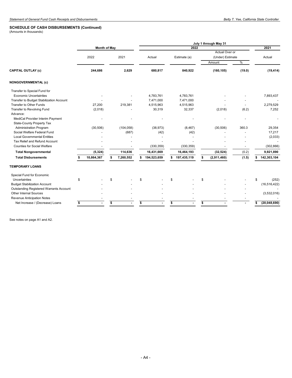#### **SCHEDULE OF CASH DISBURSEMENTS (Continued)**

(Amounts in thousands)

|                                                | <b>Month of May</b> |    |            |             | 2022         |    |                  |        |    | 2021           |
|------------------------------------------------|---------------------|----|------------|-------------|--------------|----|------------------|--------|----|----------------|
|                                                |                     |    |            |             |              |    | Actual Over or   |        |    |                |
|                                                | 2022                |    | 2021       | Actual      | Estimate (a) |    | (Under) Estimate |        |    | Actual         |
|                                                |                     |    |            |             |              |    | Amount           | %      |    |                |
| <b>CAPITAL OUTLAY (c)</b>                      | 244,686             |    | 2,629      | 680,817     | 840,922      |    | (160, 105)       | (19.0) |    | (19, 414)      |
| <b>NONGOVERNMENTAL (c)</b>                     |                     |    |            |             |              |    |                  |        |    |                |
| Transfer to Special Fund for                   |                     |    |            |             |              |    |                  |        |    |                |
| <b>Economic Uncertainties</b>                  |                     |    |            | 4,783,761   | 4,783,761    |    |                  |        |    | 7,893,437      |
| Transfer to Budget Stabilization Account       |                     |    |            | 7,471,000   | 7,471,000    |    |                  |        |    |                |
| Transfer to Other Funds                        | 27,200              |    | 219,381    | 4,515,963   | 4,515,963    |    |                  |        |    | 2,279,529      |
| Transfer to Revolving Fund                     | (2,018)             |    |            | 30,319      | 32,337       |    | (2,018)          | (6.2)  |    | 7,252          |
| Advance:                                       |                     |    |            |             |              |    |                  |        |    |                |
| MediCal Provider Interim Payment               |                     |    |            |             |              |    |                  |        |    |                |
| <b>State-County Property Tax</b>               |                     |    |            |             |              |    |                  |        |    |                |
| <b>Administration Program</b>                  | (30, 506)           |    | (104, 058) | (38, 973)   | (8, 467)     |    | (30, 506)        | 360.3  |    | 29,354         |
| Social Welfare Federal Fund                    |                     |    | (687)      | (42)        | (42)         |    |                  |        |    | 17,217         |
| <b>Local Governmental Entities</b>             |                     |    |            |             |              |    |                  |        |    | (2,033)        |
| Tax Relief and Refund Account                  |                     |    |            |             |              |    |                  |        |    |                |
| <b>Counties for Social Welfare</b>             |                     |    |            | (330, 359)  | (330, 359)   |    |                  |        |    | (302, 866)     |
| <b>Total Nongovernmental</b>                   | (5, 324)            |    | 114,636    | 16,431,669  | 16,464,193   |    | (32, 524)        | (0.2)  |    | 9,921,890      |
| <b>Total Disbursements</b>                     | 10,864,367          |    | 7,260,552  | 194,523,659 | 197,435,119  |    | (2,911,460)      | (1.5)  |    | 142,303,104    |
| <b>TEMPORARY LOANS</b>                         |                     |    |            |             |              |    |                  |        |    |                |
| Special Fund for Economic                      |                     |    |            |             |              |    |                  |        |    |                |
| Uncertainties                                  | \$                  | \$ |            | \$          | \$           | \$ |                  |        | \$ | (252)          |
| <b>Budget Stabilization Account</b>            |                     |    |            |             |              |    |                  |        |    | (16, 516, 422) |
| <b>Outstanding Registered Warrants Account</b> |                     |    |            |             |              |    |                  |        |    |                |
| <b>Other Internal Sources</b>                  |                     |    |            |             |              |    |                  |        |    | (3,532,016)    |
| Revenue Anticipation Notes                     |                     |    |            |             |              |    |                  |        |    |                |
| Net Increase / (Decrease) Loans                | \$                  | \$ |            | \$          | \$           | \$ |                  |        | \$ | (20, 048, 690) |

See notes on page A1 and A2.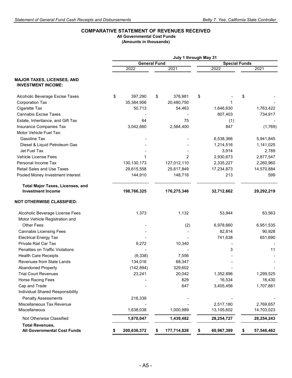# **COMPARATIVE STATEMENT OF REVENUES RECEIVED**

 **All Governmental Cost Funds (Amounts in thousands)**

|                                                                     |                  | July 1 through May 31 |                  |                      |  |  |  |  |  |  |  |
|---------------------------------------------------------------------|------------------|-----------------------|------------------|----------------------|--|--|--|--|--|--|--|
|                                                                     |                  | <b>General Fund</b>   |                  | <b>Special Funds</b> |  |  |  |  |  |  |  |
|                                                                     | 2022             | 2021                  | 2022             | 2021                 |  |  |  |  |  |  |  |
| <b>MAJOR TAXES, LICENSES, AND</b><br><b>INVESTMENT INCOME:</b>      |                  |                       |                  |                      |  |  |  |  |  |  |  |
| Alcoholic Beverage Excise Taxes                                     | \$<br>397,290    | \$<br>376,981         | \$               | \$                   |  |  |  |  |  |  |  |
| Corporation Tax                                                     | 35,384,956       | 20,480,750            |                  |                      |  |  |  |  |  |  |  |
| Cigarette Tax                                                       | 50,713           | 54,463                | 1,646,630        | 1,763,422            |  |  |  |  |  |  |  |
| <b>Cannabis Excise Taxes</b>                                        |                  |                       | 807,403          | 734,917              |  |  |  |  |  |  |  |
| Estate, Inheritance, and Gift Tax                                   | 64               | 75                    | (1)              |                      |  |  |  |  |  |  |  |
| Insurance Companies Tax                                             | 3,042,660        | 2,584,400             | 847              | (1,769)              |  |  |  |  |  |  |  |
| Motor Vehicle Fuel Tax:                                             |                  |                       |                  |                      |  |  |  |  |  |  |  |
| Gasoline Tax                                                        |                  |                       | 6,538,366        | 5,941,845            |  |  |  |  |  |  |  |
| Diesel & Liquid Petroleum Gas                                       |                  |                       | 1,214,516        | 1,141,025            |  |  |  |  |  |  |  |
| Jet Fuel Tax                                                        |                  |                       | 3,914            | 2,789                |  |  |  |  |  |  |  |
| Vehicle License Fees                                                | 1                | 2                     | 2,930,673        | 2,877,547            |  |  |  |  |  |  |  |
| Personal Income Tax                                                 | 130,130,173      | 127,012,110           | 2,335,227        | 2,260,960            |  |  |  |  |  |  |  |
| <b>Retail Sales and Use Taxes</b>                                   | 29,615,558       | 25,617,849            | 17,234,873       | 14,570,884           |  |  |  |  |  |  |  |
| Pooled Money Investment Interest                                    | 144,910          | 148,716               | 213              | 599                  |  |  |  |  |  |  |  |
| <b>Total Major Taxes, Licenses, and</b><br><b>Investment Income</b> | 198,766,325      | 176,275,346           | 32,712,662       | 29,292,219           |  |  |  |  |  |  |  |
| NOT OTHERWISE CLASSIFIED:                                           |                  |                       |                  |                      |  |  |  |  |  |  |  |
| Alcoholic Beverage License Fees                                     | 1,373            | 1,132                 | 53,944           | 63,563               |  |  |  |  |  |  |  |
| Motor Vehicle Registration and                                      |                  |                       |                  |                      |  |  |  |  |  |  |  |
| <b>Other Fees</b>                                                   |                  | (2)                   | 6,978,660        | 6,951,535            |  |  |  |  |  |  |  |
| <b>Cannabis Licensing Fees</b>                                      |                  |                       | 82,814           | 90,928               |  |  |  |  |  |  |  |
| <b>Electrical Energy Tax</b>                                        |                  |                       | 741,638          | 651,690              |  |  |  |  |  |  |  |
| Private Rail Car Tax                                                | 9,272            | 10,340                |                  |                      |  |  |  |  |  |  |  |
| Penalties on Traffic Violations                                     |                  |                       | 3                | 11                   |  |  |  |  |  |  |  |
| <b>Health Care Receipts</b>                                         | (9, 338)         | 7,556                 |                  |                      |  |  |  |  |  |  |  |
| Revenues from State Lands                                           | 134,016          | 68,347                |                  |                      |  |  |  |  |  |  |  |
| <b>Abandoned Property</b>                                           | (142, 894)       | 329,602               |                  |                      |  |  |  |  |  |  |  |
| <b>Trial Court Revenues</b>                                         | 23,241           | 20,042                | 1,352,896        | 1,299,525            |  |  |  |  |  |  |  |
| Horse Racing Fees                                                   |                  | 829                   | 16,534           | 16,430               |  |  |  |  |  |  |  |
| Cap and Trade                                                       |                  | 647                   | 3,405,456        | 1,707,881            |  |  |  |  |  |  |  |
| Individual Shared Responsibility                                    |                  |                       |                  |                      |  |  |  |  |  |  |  |
| <b>Penalty Assessments</b>                                          | 216,339          |                       |                  |                      |  |  |  |  |  |  |  |
| Miscellaneous Tax Revenue                                           |                  |                       | 2,517,180        | 2,769,657            |  |  |  |  |  |  |  |
| Miscellaneous                                                       | 1,638,038        | 1,000,989             | 13,105,602       | 14,703,023           |  |  |  |  |  |  |  |
| Not Otherwise Classified                                            | 1,870,047        | 1,439,482             | 28,254,727       | 28,254,243           |  |  |  |  |  |  |  |
| <b>Total Revenues,</b><br><b>All Governmental Cost Funds</b>        | 200,636,372<br>5 | \$<br>177,714,828     | \$<br>60,967,389 | 57,546,462<br>\$     |  |  |  |  |  |  |  |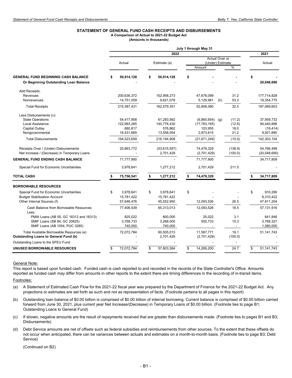#### **STATEMENT OF GENERAL FUND CASH RECEIPTS AND DISBURSEMENTS**

**A Comparison of Actual to 2021-22 Budget Act**

**(Amounts in thousands)**

|                                                 |    |             |                         | 2022         |                  |                  |         |    | 2021         |
|-------------------------------------------------|----|-------------|-------------------------|--------------|------------------|------------------|---------|----|--------------|
|                                                 |    |             |                         |              |                  | Actual Over or   |         |    |              |
|                                                 |    | Actual      |                         | Estimate (a) |                  | (Under) Estimate |         |    | Actual       |
|                                                 |    |             |                         |              | Amount           | $\%$             |         |    |              |
| <b>GENERAL FUND BEGINNING CASH BALANCE</b>      | \$ | 50,914,128  | \$                      | 50,914,128   | \$               |                  |         | \$ |              |
| Or Beginning Outstanding Loan Balance           |    |             |                         |              |                  |                  |         |    | 20,048,690   |
| Add Receipts:                                   |    |             |                         |              |                  |                  |         |    |              |
| Revenues                                        |    | 200,636,372 |                         | 152,958,273  | 47,678,099       |                  | 31.2    |    | 177,714,828  |
| Nonrevenues                                     |    | 14,751,059  |                         | 9,621,078    | 5,129,981        | (h)              | 53.3    |    | 19,354,775   |
| <b>Total Receipts</b>                           |    | 215,387,431 |                         | 162,579,351  | 52,808,080       |                  | 32.5    |    | 197,069,603  |
| Less Disbursements (c):                         |    |             |                         |              |                  |                  |         |    |              |
| <b>State Operations</b>                         |    | 54,417,908  |                         | 61,283,562   | (6,865,654)      | (g)              | (11.2)  |    | 37,959,732   |
| <b>Local Assistance</b>                         |    | 122,993,265 |                         | 140,776,430  | (17, 783, 165)   |                  | (12.6)  |    | 94,440,896   |
| Capital Outlay                                  |    | 680.817     |                         | 576,862      | 103,955          |                  | 18.0    |    | (19, 414)    |
| Nongovernmental                                 |    | 16,431,669  |                         | 13,558,054   | 2,873,615        |                  | 21.2    |    | 9,921,890    |
| <b>Total Disbursements</b>                      |    | 194,523,659 |                         | 216,194,908  | (21, 671, 249)   |                  | (10.0)  |    | 142,303,104  |
| Receipts Over / (Under) Disbursements           |    | 20,863,772  |                         | (53,615,557) | 74,479,329       |                  | (138.9) |    | 54,766,499   |
| Net Increase / (Decrease) in Temporary Loans    |    |             |                         | 2,701,429    | (2,701,429)      |                  | (100.0) |    | (20,048,690) |
| <b>GENERAL FUND ENDING CASH BALANCE</b>         |    | 71,777,900  |                         |              | 71,777,900       |                  |         |    | 34,717,809   |
| Special Fund for Economic Uncertainties         |    | 3,978,641   |                         | 1,277,212    | 2,701,429        |                  | 211.5   |    |              |
| <b>TOTAL CASH</b>                               |    | 75,756,541  | \$                      | 1,277,212    | \$<br>74,479,329 |                  |         | \$ | 34,717,809   |
| <b>BORROWABLE RESOURCES</b>                     |    |             |                         |              |                  |                  |         |    |              |
| Special Fund for Economic Uncertainties         | \$ | 3,978,641   | \$                      | 3,978,641    | \$               |                  |         | \$ | 910.290      |
| <b>Budget Stabilization Account</b>             |    | 15,781,422  |                         | 15,781,422   |                  |                  |         |    | 8,310,422    |
| Other Internal Sources (f)                      |    | 57,646,476  |                         | 45,552,950   | 12,093,526       |                  | 26.5    |    | 47,911,204   |
| Cash Balance from Borrowable Resources<br>Less: |    | 77,406,539  |                         | 65,313,013   | 12,093,526       |                  | 18.5    |    | 57,131,916   |
| PMIA Loans (AB 55, GC 16312 and 16313)          |    | 825,022     |                         | 800,000      | 25,022           |                  | 3.1     |    | 641,846      |
| SMIF Loans (SB 84, GC 20825)                    |    | 3,768,733   |                         | 3,268,000    | 500,733          |                  | 15.3    |    | 3,768,327    |
| SMIF Loans (AB 1054, PUC 3285)                  |    | 740,000     |                         | 740,000      |                  |                  | $\sim$  |    | 1,580,000    |
| Total Available Borrowable Resources (e)        |    | 72,072,784  |                         | 60,505,013   | 11,567,771       |                  | 19.1    |    | 51, 141, 743 |
| Outstanding Loans to General Fund (b)           |    |             |                         | 2,701,429    | (2,701,429)      |                  | (100.0) |    |              |
| Outstanding Loans to the SFEU Fund              |    |             |                         |              |                  |                  |         |    |              |
| UNUSED BORROWABLE RESOURCES                     | \$ | 72,072,784  | $\overline{\mathbb{S}}$ | 57,803,584   | \$<br>14,269,200 |                  | 24.7    | \$ | 51, 141, 743 |

#### General Note:

This report is based upon funded cash. Funded cash is cash reported to and recorded in the records of the State Controller's Office. Amounts reported as funded cash may differ from amounts in other reports to the extent there are timing differences in the recording of in-transit items.

### Footnotes:

- (a) A Statement of Estimated Cash Flow for the 2021-22 fiscal year was prepared by the Department of Finance for the 2021-22 Budget Act. Any projections or estimates are set forth as such and not as representation of facts. (Footnote pertains to all pages in this report)
- (b) Outstanding loan balance of \$0.00 billion is comprised of \$0.00 billion of internal borrowing. Current balance is comprised of \$0.00 billion carried forward from June 30, 2021, plus current year Net Increase/(Decrease) in Temporary Loans of \$0.00 billion. (Footnote ties to page B1; Outstanding Loans to General Fund)
- (c) If shown, negative amounts are the result of repayments received that are greater than disbursements made. (Footnote ties to pages B1 and B3; Disbursements)
- (d) Debt Service amounts are net of offsets such as federal subsidies and reimbursements from other sources. To the extent that these offsets do not occur when anticipated, there can be variances between actuals and estimates on a month-to-month basis. (Footnote ties to page B3; Debt Service)

(Continued on B2)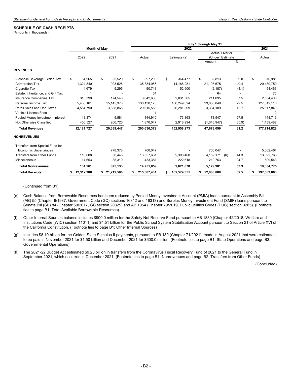#### **SCHEDULE OF CASH RECEIPTS**

(Amounts in thousands)

|                                   |                  |                  | July 1 through May 31 |                   |                          |                   |  |  |  |  |  |  |  |  |
|-----------------------------------|------------------|------------------|-----------------------|-------------------|--------------------------|-------------------|--|--|--|--|--|--|--|--|
|                                   |                  | Month of May     |                       | 2021              |                          |                   |  |  |  |  |  |  |  |  |
|                                   |                  |                  |                       |                   | Actual Over or           |                   |  |  |  |  |  |  |  |  |
|                                   | 2022             | 2021             | Actual                | Estimate (a)      | (Under) Estimate         | Actual            |  |  |  |  |  |  |  |  |
|                                   |                  |                  |                       |                   | %<br>Amount              |                   |  |  |  |  |  |  |  |  |
| <b>REVENUES</b>                   |                  |                  |                       |                   |                          |                   |  |  |  |  |  |  |  |  |
| Alcoholic Beverage Excise Tax     | 34,965<br>\$     | \$<br>35,529     | \$<br>397,290         | \$<br>364,477     | \$<br>32,813<br>9.0      | \$<br>376,981     |  |  |  |  |  |  |  |  |
| <b>Corporation Tax</b>            | 1,324,840        | 923,528          | 35,384,956            | 14,186,281        | 21,198,675<br>149.4      | 20,480,750        |  |  |  |  |  |  |  |  |
| Cigarette Tax                     | 4,679            | 5,295            | 50,713                | 52,900            | (4.1)<br>(2, 187)        | 54,463            |  |  |  |  |  |  |  |  |
| Estate, Inheritance, and Gift Tax |                  |                  | 64                    |                   | 64                       | 75                |  |  |  |  |  |  |  |  |
| Insurance Companies Tax           | 310,390          | 174,546          | 3,042,660             | 2,831,565         | 211,095<br>7.5           | 2,584,400         |  |  |  |  |  |  |  |  |
| Personal Income Tax               | 5,483,161        | 15, 145, 378     | 130, 130, 173         | 106,249,324       | 22.5<br>23,880,849       | 127,012,110       |  |  |  |  |  |  |  |  |
| <b>Retail Sales and Use Taxes</b> | 4,554,790        | 3,838,865        | 29,615,558            | 26,281,369        | 12.7<br>3,334,189        | 25,617,849        |  |  |  |  |  |  |  |  |
| <b>Vehicle License Fees</b>       |                  |                  |                       |                   |                          | 2                 |  |  |  |  |  |  |  |  |
| Pooled Money Investment Interest  | 18,374           | 9,581            | 144,910               | 73,363            | 97.5<br>71,547           | 148,716           |  |  |  |  |  |  |  |  |
| Not Otherwise Classified          | 450,527          | 206,725          | 1,870,047             | 2,918,994         | (35.9)<br>(1,048,947)    | 1,439,482         |  |  |  |  |  |  |  |  |
| <b>Total Revenues</b>             | 12,181,727       | 20,339,447       | 200,636,372           | 152,958,273       | 31.2<br>47,678,099       | 177,714,828       |  |  |  |  |  |  |  |  |
| <b>NONREVENUES</b>                |                  |                  |                       |                   |                          |                   |  |  |  |  |  |  |  |  |
| Transfers from Special Fund for   |                  |                  |                       |                   |                          |                   |  |  |  |  |  |  |  |  |
| Economic Uncertainties            |                  | 778,378          | 760,047               |                   | 760,047                  | 5,662,464         |  |  |  |  |  |  |  |  |
| <b>Transfers from Other Funds</b> | 116,608          | 56,445           | 13,557,631            | 9,398,460         | 44.3<br>4,159,171<br>(h) | 13,092,768        |  |  |  |  |  |  |  |  |
| Miscellaneous                     | 14,653           | 38,310           | 433,381               | 222,618           | 210,763<br>94.7          | 599,543           |  |  |  |  |  |  |  |  |
| <b>Total Nonrevenues</b>          | 131,261          | 873,133          | 14,751,059            | 9,621,078         | 5,129,981<br>53.3        | 19,354,775        |  |  |  |  |  |  |  |  |
| <b>Total Receipts</b>             | 12,312,988<br>\$ | 21,212,580<br>\$ | 215,387,431<br>\$     | 162,579,351<br>\$ | 32.5<br>52,808,080<br>\$ | 197,069,603<br>\$ |  |  |  |  |  |  |  |  |

(Continued from B1)

- (e) Cash Balance from Borrowable Resources has been reduced by Pooled Money Investment Account (PMIA) loans pursuant to Assembly Bill (AB) 55 (Chapter 6/1987, Government Code (GC) sections 16312 and 16313) and Surplus Money Investment Fund (SMIF) loans pursuant to Senate Bill (SB) 84 (Chapter 50/2017, GC section 20825) and AB 1054 (Chapter 79/2019, Public Utilities Codes (PUC) section 3285). (Footnote ties to page B1; Total Available Borrowable Resources)
- (f) Other Internal Sources balance includes \$900.0 million for the Safety Net Reserve Fund pursuant to AB 1830 (Chapter 42/2018, Welfare and Institutions Code (WIC) section 11011) and \$4.51 billion for the Public School System Stabilization Account pursuant to Section 21 of Article XVI of the California Constitution. (Footnote ties to page B1; Other Internal Sources)
- (g) Includes \$8.10 billion for the Golden State Stimulus II payments, pursuant to SB 139 (Chapter 71/2021), made in August 2021 that were estimated to be paid in November 2021 for \$1.50 billion and December 2021 for \$600.0 million. (Footnote ties to page B1; State Operations and page B3; Governmental Operations)
- (h) The 2021-22 Budget Act estimated \$9.20 billion in transfers from the Coronavirus Fiscal Recovery Fund of 2021 to the General Fund in September 2021, which occurred in December 2021. (Footnote ties to page B1; Nonrevenues and page B2; Transfers from Other Funds)

(Concluded)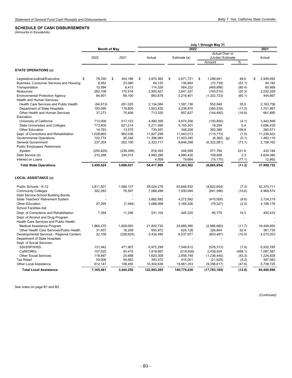### **SCHEDULE OF CASH DISBURSEMENTS**

(Amounts in thousands)

|                                           | <b>Month of May</b> |               |          |             |                | 2021         |    |                  |                |        |            |  |
|-------------------------------------------|---------------------|---------------|----------|-------------|----------------|--------------|----|------------------|----------------|--------|------------|--|
|                                           |                     |               |          |             | Actual Over or |              |    |                  |                |        |            |  |
|                                           | 2022                | 2021          |          | Actual      |                | Estimate (a) |    | (Under) Estimate |                | Actual |            |  |
|                                           |                     |               |          |             |                |              |    | Amount           | %              |        |            |  |
| <b>STATE OPERATIONS (c)</b>               |                     |               |          |             |                |              |    |                  |                |        |            |  |
| Legislative/Judicial/Executive<br>\$      | 78,330              | \$<br>344,186 | \$       | 3,970,362   | \$             | 2,671,721    | \$ | 1,298,641        | 48.6           | \$     | 2,949,092  |  |
| Business, Consumer Services and Housing   | 8,952               | 23,080        |          | 64,125      |                | 136,864      |    | (72, 739)        | (53.1)         |        | 94,182     |  |
| Transportation                            | 15,594              |               | 8,413    | 114,326     |                | 584,222      |    | (469, 896)       | (80.4)         |        | 60,989     |  |
| Resources                                 | 282,108             | 170,916       |          | 2,900,827   |                | 3,641,337    |    | (740, 510)       | (20.3)         |        | 2,532,259  |  |
| <b>Environmental Protection Agency</b>    | 84,801              | 68,100        |          | 883,678     |                | 2,216,401    |    | (1,332,723)      | (60.1)         |        | 444,667    |  |
| Health and Human Services:                |                     |               |          |             |                |              |    |                  |                |        |            |  |
| Health Care Services and Public Health    | (64, 913)           | 261,025       |          | 2,134,084   |                | 1,581,136    |    | 552,948          | 35.0           |        | 2,163,756  |  |
| Department of State Hospitals             | 193,095             | 178,805       |          | 1,853,435   |                | 2,238,970    |    | (385, 535)       | (17.2)         |        | 1,701,867  |  |
| Other Health and Human Services           | 37,273              | 75,408        |          | 713,335     |                | 857,827      |    | (144, 492)       | (16.8)         |        | 661,885    |  |
| Education:                                |                     |               |          |             |                |              |    |                  |                |        |            |  |
| University of California                  | 713,009             | 517,123       |          | 4,480,356   |                | 4,674,206    |    | (193, 850)       | (4.1)          |        | 3,443,899  |  |
| <b>State Universities and Colleges</b>    | 773,400             | 621,214       |          | 5,211,595   |                | 5,193,301    |    | 18,294           | 0.4            |        | 3,696,439  |  |
| <b>Other Education</b>                    | 14,793              | 13,575        |          | 730,597     |                | 348,208      |    | 382,389          | 109.8          |        | 260,571    |  |
| Dept. of Corrections and Rehabilitation   | 1,028,665           | 962,036       |          | 11,827,298  |                | 11,943,013   |    | (115, 715)       | (1.0)          |        | 11,238,922 |  |
| <b>Governmental Operations</b>            | 102,774             | 95,348        |          | 11,396,983  |                | 11,403,345   |    | $(6,362)$ $(g)$  | (0.1)          |        | 1,483,116  |  |
| <b>General Government</b>                 | 237,204             | 262,100       |          | 2,323,717   |                | 8,646,298    |    | (6,322,581)      | (73.1)         |        | 2,158,162  |  |
| <b>Public Employees' Retirement</b>       |                     |               |          |             |                |              |    |                  |                |        |            |  |
| System                                    | (255, 829)          | (236, 306)    |          | 818,393     |                | 246.599      |    | 571,794          | 231.9          |        | 433.184    |  |
| Debt Service (d)                          | 210,268             | 334,014       |          | 4,990,288   |                | 4,880,430    |    | 109,858          | 2.3            |        | 4,624,080  |  |
| Interest on Loans                         |                     |               |          | 4,509       |                | 19,684       |    | (15, 175)        | (77.1)         |        | 12,662     |  |
| <b>Total State Operations</b>             | 3,459,524           | 3,699,037     |          | 54,417,908  |                | 61,283,562   |    | (6,865,654)      | (11.2)         |        | 37,959,732 |  |
| <b>LOCAL ASSISTANCE (c)</b>               |                     |               |          |             |                |              |    |                  |                |        |            |  |
| Public Schools - K-12                     | 3,811,501           | 1,084,137     |          | 59,024,278  |                | 63,646,932   |    | (4,622,654)      | (7.3)          |        | 42,370,711 |  |
| <b>Community Colleges</b>                 | 302,283             | 76,597        |          | 7,088,498   |                | 7.930.094    |    | (841, 596)       | (10.6)         |        | 4,969,574  |  |
| Debt Service-School Building Bonds        |                     |               |          |             |                |              |    |                  |                |        |            |  |
| State Teachers' Retirement System         |                     |               |          | 3,862,582   |                | 4,272,582    |    | (410,000)        | (9.6)          |        | 3,724,219  |  |
| <b>Other Education</b>                    | 47,295              |               | (7, 494) | 3,088,999   |                | 3,168,326    |    | (79, 327)        | (2.5)          |        | 4,199,176  |  |
| School Facilities Aid                     |                     |               |          |             |                |              |    |                  | $\overline{a}$ |        |            |  |
| Dept. of Corrections and Rehabilitation   | 7,394               | 11,256        |          | 531,104     |                | 445,325      |    | 85,779           | 19.3           |        | 455,433    |  |
| Dept. of Alcohol and Drug Program         |                     |               |          |             |                |              |    |                  |                |        |            |  |
| Health Care Services and Public Health:   |                     |               |          |             |                |              |    |                  |                |        |            |  |
| Medical Assistance Program                | 1,864,475           | 1,829,093     |          | 21,802,730  |                | 24,689,390   |    | (2,886,660)      | (11.7)         |        | 18,448,993 |  |
| Other Health Care Services/Public Health  | 31,407              | 18,259        |          | 950,972     |                | 624,128      |    | 326,844          | 52.4           |        | 381,735    |  |
| Developmental Services - Regional Centers | 22,109              | (328, 625)    |          | 5,434,490   |                | 6,037,977    |    | (603, 487)       | (10.0)         |        | 4,510,053  |  |
| Department of State Hospitals             |                     |               |          |             |                |              |    |                  | $\sim$         |        |            |  |
| Dept. of Social Services:                 |                     |               |          |             |                |              |    |                  |                |        |            |  |
| SSI/SSP/IHSS                              | 131,942             | 471,907       |          | 6,972,299   |                | 7,548,612    |    | (576, 313)       | (7.6)          |        | 6,932,785  |  |
| CalWORKs                                  | 157,025             | 45,415        |          | 1,918,997   |                | (519, 938)   |    | 2,438,935        | (469.1)        |        | 1,087,581  |  |
| <b>Other Social Services</b>              | 118,897             | 25,688        |          | 1,620,308   |                | 2,856,748    |    | (1,236,440)      | (43.3)         |        | 1,224,828  |  |
| <b>Tax Relief</b>                         | 59,006              | 59,562        |          | 393,372     |                | 415,001      |    | (21, 629)        | (5.2)          |        | 397,083    |  |
| <b>Other Local Assistance</b>             | 612,147             | 158,455       |          | 10,304,636  |                | 19,661,253   |    | (9,356,617)      | (47.6)         |        | 5,738,725  |  |
| <b>Total Local Assistance</b>             | 7,165,481           | 3,444,250     |          | 122,993,265 |                | 140,776,430  |    | (17, 783, 165)   | (12.6)         |        | 94,440,896 |  |

See notes on page B1 and B2.

(Continued)